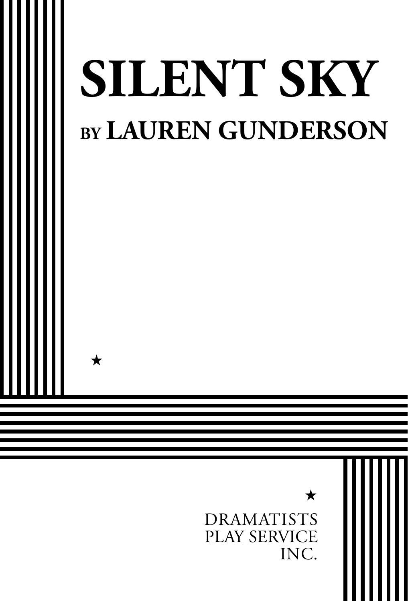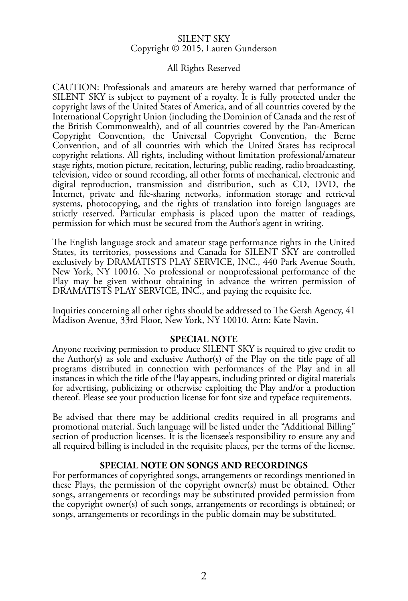#### SILENT SKY Copyright © 2015, Lauren Gunderson

#### All Rights Reserved

CAUTION: Professionals and amateurs are hereby warned that performance of SILENT SKY is subject to payment of a royalty. It is fully protected under the copyright laws of the United States of America, and of all countries covered by the International Copyright Union (including the Dominion of Canada and the rest of the British Commonwealth), and of all countries covered by the Pan-American Copyright Convention, the Universal Copyright Convention, the Berne Convention, and of all countries with which the United States has reciprocal copyright relations. All rights, including without limitation professional/amateur stage rights, motion picture, recitation, lecturing, public reading, radio broadcasting, television, video or sound recording, all other forms of mechanical, electronic and digital reproduction, transmission and distribution, such as CD, DVD, the Internet, private and file-sharing networks, information storage and retrieval systems, photocopying, and the rights of translation into foreign languages are strictly reserved. Particular emphasis is placed upon the matter of readings, permission for which must be secured from the Author's agent in writing.

The English language stock and amateur stage performance rights in the United States, its territories, possessions and Canada for SILENT SKY are controlled exclusively by DRAMATISTS PLAY SERVICE, INC., 440 Park Avenue South, New York, NY 10016. No professional or nonprofessional performance of the Play may be given without obtaining in advance the written permission of DRAMATISTS PLAY SERVICE, INC., and paying the requisite fee.

Inquiries concerning all other rights should be addressed to The Gersh Agency, 41 Madison Avenue, 33rd Floor, New York, NY 10010. Attn: Kate Navin.

#### **SPECIAL NOTE**

Anyone receiving permission to produce SILENT SKY is required to give credit to the Author(s) as sole and exclusive Author(s) of the Play on the title page of all programs distributed in connection with performances of the Play and in all instances in which the title of the Play appears, including printed or digital materials for advertising, publicizing or otherwise exploiting the Play and/or a production thereof. Please see your production license for font size and typeface requirements.

Be advised that there may be additional credits required in all programs and promotional material. Such language will be listed under the "Additional Billing" section of production licenses. It is the licensee's responsibility to ensure any and all required billing is included in the requisite places, per the terms of the license.

#### **SPECIAL NOTE ON SONGS AND RECORDINGS**

For performances of copyrighted songs, arrangements or recordings mentioned in these Plays, the permission of the copyright owner(s) must be obtained. Other songs, arrangements or recordings may be substituted provided permission from the copyright owner(s) of such songs, arrangements or recordings is obtained; or songs, arrangements or recordings in the public domain may be substituted.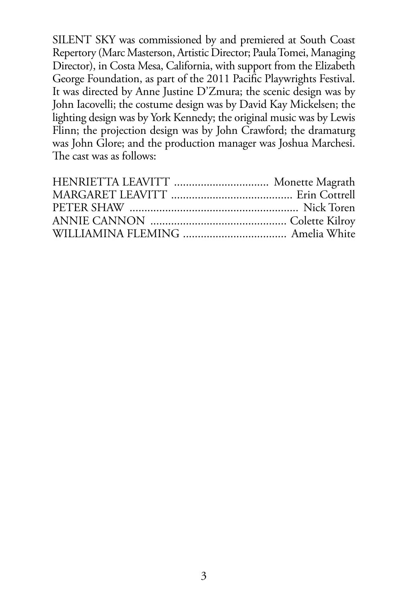SILENT SKY was commissioned by and premiered at South Coast Repertory (Marc Masterson, Artistic Director; Paula Tomei, Managing Director), in Costa Mesa, California, with support from the Elizabeth George Foundation, as part of the 2011 Pacific Playwrights Festival. It was directed by Anne Justine D'Zmura; the scenic design was by John Iacovelli; the costume design was by David Kay Mickelsen; the lighting design was by York Kennedy; the original music was by Lewis Flinn; the projection design was by John Crawford; the dramaturg was John Glore; and the production manager was Joshua Marchesi. The cast was as follows:

| HENRIETTA LEAVITT  Monette Magrath |  |
|------------------------------------|--|
|                                    |  |
|                                    |  |
|                                    |  |
|                                    |  |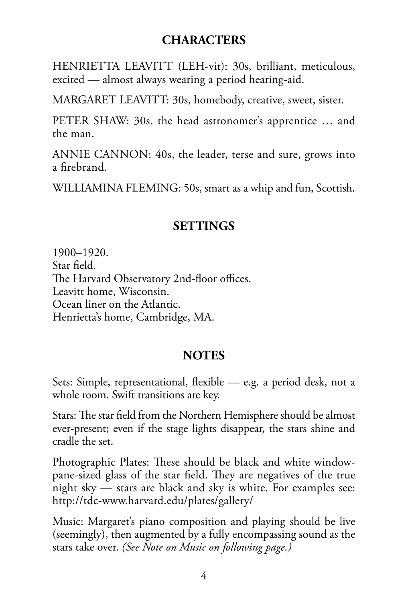## **CHARACTERS**

HENRIETTA LEAVITT (LEH-vit): 30s, brilliant, meticulous, excited — almost always wearing a period hearing-aid.

MARGARET LEAVITT: 30s, homebody, creative, sweet, sister.

PETER SHAW: 30s, the head astronomer's apprentice … and the man.

ANNIE CANNON: 40s, the leader, terse and sure, grows into a firebrand.

WILLIAMINA FLEMING: 50s, smart as a whip and fun, Scottish.

## **SETTINGS**

1900–1920. Star field. The Harvard Observatory 2nd-floor offices. Leavitt home, Wisconsin. Ocean liner on the Atlantic. Henrietta's home, Cambridge, MA.

## **NOTES**

Sets: Simple, representational, flexible — e.g. a period desk, not a whole room. Swift transitions are key.

Stars: The star field from the Northern Hemisphere should be almost ever-present; even if the stage lights disappear, the stars shine and cradle the set.

Photographic Plates: These should be black and white windowpane-sized glass of the star field. They are negatives of the true night sky — stars are black and sky is white. For examples see: http://tdc-www.harvard.edu/plates/gallery/

Music: Margaret's piano composition and playing should be live (seemingly), then augmented by a fully encompassing sound as the stars take over. *(See Note on Music on following page.)*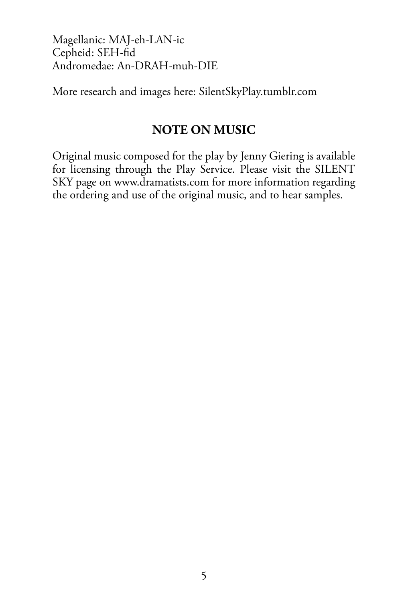Magellanic: MAJ-eh-LAN-ic Cepheid: SEH-fid Andromedae: An-DRAH-muh-DIE

More research and images here: SilentSkyPlay.tumblr.com

# **NOTE ON MUSIC**

Original music composed for the play by Jenny Giering is available for licensing through the Play Service. Please visit the SILENT SKY page on www.dramatists.com for more information regarding the ordering and use of the original music, and to hear samples.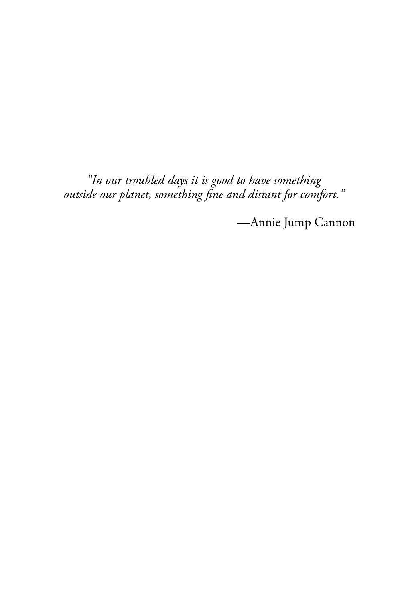*"In our troubled days it is good to have something outside our planet, something fine and distant for comfort."*

—Annie Jump Cannon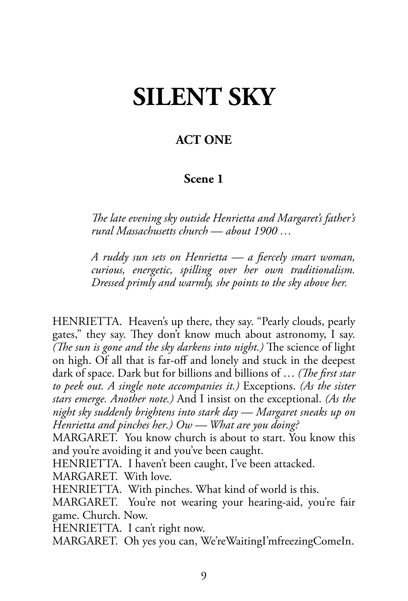# **SILENT SKY**

## **ACT ONE**

### **Scene 1**

*The late evening sky outside Henrietta and Margaret's father's rural Massachusetts church — about 1900 …* 

*A ruddy sun sets on Henrietta — a fiercely smart woman, curious, energetic, spilling over her own traditionalism. Dressed primly and warmly, she points to the sky above her.*

HENRIETTA. Heaven's up there, they say. "Pearly clouds, pearly gates," they say. They don't know much about astronomy, I say. *(The sun is gone and the sky darkens into night.)* The science of light on high. Of all that is far-off and lonely and stuck in the deepest dark of space. Dark but for billions and billions of … *(The first star to peek out. A single note accompanies it.)* Exceptions. *(As the sister stars emerge. Another note.)* And I insist on the exceptional. *(As the night sky suddenly brightens into stark day — Margaret sneaks up on Henrietta and pinches her.) Ow — What are you doing?*

MARGARET. You know church is about to start. You know this and you're avoiding it and you've been caught.

HENRIETTA. I haven't been caught, I've been attacked. MARGARET. With love.

HENRIETTA. With pinches. What kind of world is this.

MARGARET. You're not wearing your hearing-aid, you're fair game. Church. Now.

HENRIETTA. I can't right now.

MARGARET. Oh yes you can, We'reWaitingI'mfreezingComeIn.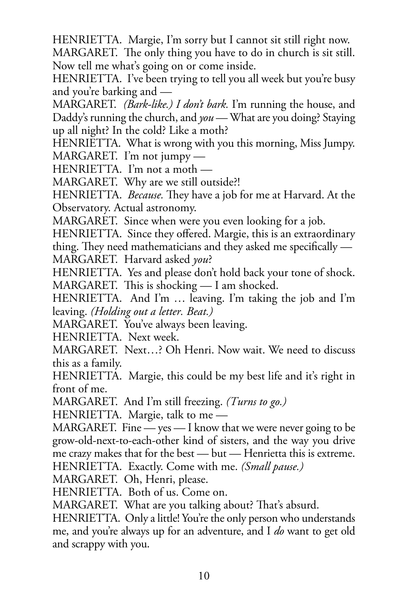HENRIETTA. Margie, I'm sorry but I cannot sit still right now. MARGARET. The only thing you have to do in church is sit still. Now tell me what's going on or come inside.

HENRIETTA. I've been trying to tell you all week but you're busy and you're barking and —

MARGARET. *(Bark-like.) I don't bark.* I'm running the house, and Daddy's running the church, and *you* — What are you doing? Staying up all night? In the cold? Like a moth?

HENRIETTA. What is wrong with you this morning, Miss Jumpy. MARGARET. I'm not jumpy —

HENRIETTA. I'm not a moth —

MARGARET. Why are we still outside?!

HENRIETTA. *Because.* They have a job for me at Harvard. At the Observatory. Actual astronomy.

MARGARET. Since when were you even looking for a job.

HENRIETTA. Since they offered. Margie, this is an extraordinary thing. They need mathematicians and they asked me specifically — MARGARET. Harvard asked *you*?

HENRIETTA. Yes and please don't hold back your tone of shock. MARGARET. This is shocking — I am shocked.

HENRIETTA. And I'm … leaving. I'm taking the job and I'm leaving. *(Holding out a letter. Beat.)*

MARGARET. You've always been leaving.

HENRIETTA. Next week.

MARGARET. Next…? Oh Henri. Now wait. We need to discuss this as a family.

HENRIETTA. Margie, this could be my best life and it's right in front of me.

MARGARET. And I'm still freezing. *(Turns to go.)*

HENRIETTA. Margie, talk to me —

MARGARET. Fine — yes — I know that we were never going to be grow-old-next-to-each-other kind of sisters, and the way you drive me crazy makes that for the best — but — Henrietta this is extreme. HENRIETTA. Exactly. Come with me. *(Small pause.)*

MARGARET. Oh, Henri, please.

HENRIETTA. Both of us. Come on.

MARGARET. What are you talking about? That's absurd.

HENRIETTA. Only a little! You're the only person who understands me, and you're always up for an adventure, and I *do* want to get old and scrappy with you.